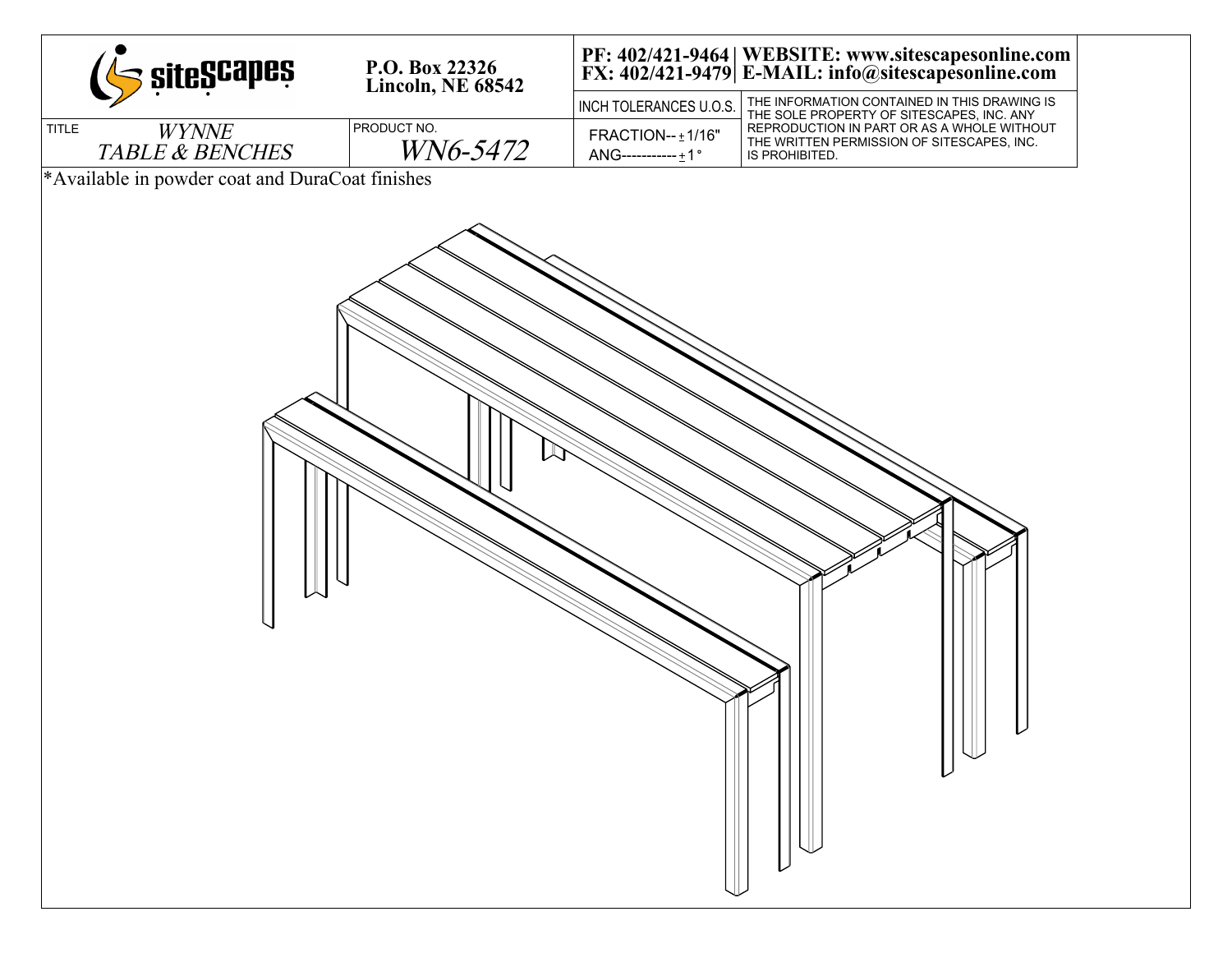